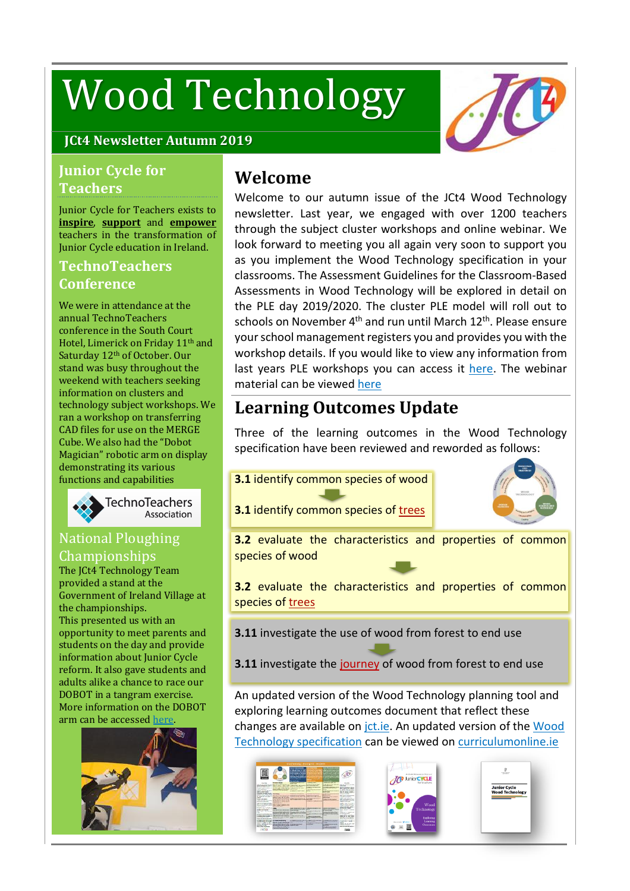# Wood Technology



## **JCt4 Newsletter Autumn 2019**

## **Junior Cycle for Teachers**

Junior Cycle for Teachers exists to **inspire**, **support** and **empower** teachers in the transformation of Junior Cycle education in Ireland.

## **TechnoTeachers Conference**

We were in attendance at the annual TechnoTeachers conference in the South Court Hotel, Limerick on Friday 11th and Saturday 12<sup>th</sup> of October. Our stand was busy throughout the weekend with teachers seeking information on clusters and technology subject workshops. We ran a workshop on transferring CAD files for use on the MERGE Cube. We also had the "Dobot Magician" robotic arm on display demonstrating its various functions and capabilities



## National Ploughing Championships

The ICt4 Technology Team provided a stand at the Government of Ireland Village at the championships. This presented us with an opportunity to meet parents and students on the day and provide information about Junior Cycle reform. It also gave students and adults alike a chance to race our DOBOT in a tangram exercise. More information on the DOBOT arm can be accessed [here.](https://www.sgeducation.ie/product/dobot-magician-multi-functional-robot)



# **Welcome**

Welcome to our autumn issue of the JCt4 Wood Technology newsletter. Last year, we engaged with over 1200 teachers through the subject cluster workshops and online webinar. We look forward to meeting you all again very soon to support you as you implement the Wood Technology specification in your classrooms. The Assessment Guidelines for the Classroom-Based Assessments in Wood Technology will be explored in detail on the PLE day 2019/2020. The cluster PLE model will roll out to schools on November 4<sup>th</sup> and run until March 12<sup>th</sup>. Please ensure your school management registers you and provides you with the workshop details. If you would like to view any information from last years PLE workshops you can access it [here.](https://www.jct.ie/technologies/cpd_supports_wood_technology_cpd_workshops_2018_2019) The webinar material can be viewed [here](https://www.jct.ie/technologies/cpd_supports_wood_technology_elective_workshops)

# **Learning Outcomes Update**

Three of the learning outcomes in the Wood Technology specification have been reviewed and reworded as follows:

**3.1** identify common species of wood



**3.1** identify common species of trees

**3.2** evaluate the characteristics and properties of common species of wood

**3.2** evaluate the characteristics and properties of common species of trees

**3.11** investigate the use of wood from forest to end use

**3.11** investigate the journey of wood from forest to end use

An updated version of the Wood Technology planning tool and exploring learning outcomes document that reflect these changes are available on [jct.ie.](https://www.jct.ie/home/home.php) An updated version of the [Wood](https://www.curriculumonline.ie/getmedia/805eea5b-22b8-47d3-9849-6530e500fe1d/Wood-Technology.pdf) Technology [specification](https://www.curriculumonline.ie/getmedia/805eea5b-22b8-47d3-9849-6530e500fe1d/Wood-Technology.pdf) can be viewed on [curriculumonline.ie](https://www.curriculumonline.ie/)